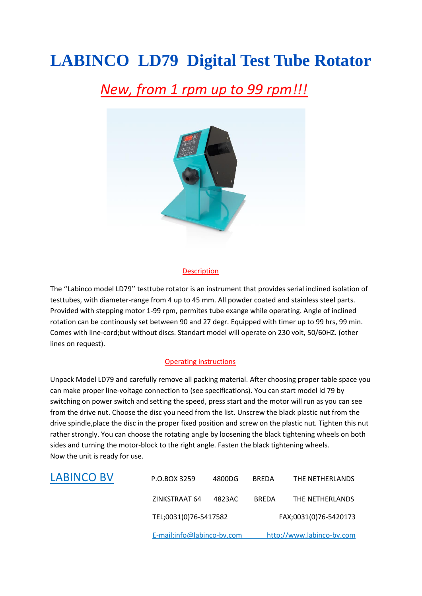# **LABINCO LD79 Digital Test Tube Rotator**

## *New, from 1 rpm up to 99 rpm!!!*



#### Description

The ''Labinco model LD79'' testtube rotator is an instrument that provides serial inclined isolation of testtubes, with diameter-range from 4 up to 45 mm. All powder coated and stainless steel parts. Provided with stepping motor 1-99 rpm, permites tube exange while operating. Angle of inclined rotation can be continously set between 90 and 27 degr. Equipped with timer up to 99 hrs, 99 min. Comes with line-cord;but without discs. Standart model will operate on 230 volt, 50/60HZ. (other lines on request).

#### Operating instructions

Unpack Model LD79 and carefully remove all packing material. After choosing proper table space you can make proper line-voltage connection to (see specifications). You can start model ld 79 by switching on power switch and setting the speed, press start and the motor will run as you can see from the drive nut. Choose the disc you need from the list. Unscrew the black plastic nut from the drive spindle,place the disc in the proper fixed position and screw on the plastic nut. Tighten this nut rather strongly. You can choose the rotating angle by loosening the black tightening wheels on both sides and turning the motor-block to the right angle. Fasten the black tightening wheels. Now the unit is ready for use.

| ZINKSTRAAT 64<br>THE NETHERLANDS<br>4823AC<br><b>BREDA</b> |
|------------------------------------------------------------|
|                                                            |
|                                                            |
|                                                            |